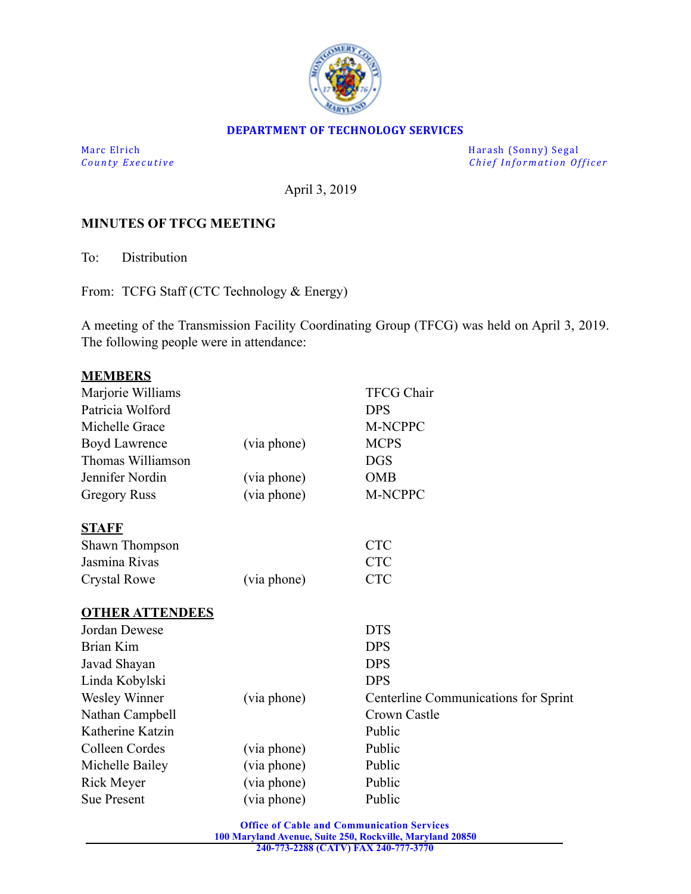

#### **DEPARTMENT OF TECHNOLOGY SERVICES**

Marc Elrich Marc Elrich Marc Elrich Marc Elrich Marc Elrich Marc Elrich Marc Elrich Marc Elrich Marc Elrich Marc Elrich Marc Elrich Marc Elrich Marc Elrich Marc Elrich Marc Elrich Marc Elrich *Chief Information Officer* 

April 3, 2019

## **MINUTES OF TFCG MEETING**

To: Distribution

From: TCFG Staff (CTC Technology & Energy)

A meeting of the Transmission Facility Coordinating Group (TFCG) was held on April 3, 2019. The following people were in attendance:

|             | <b>TFCG Chair</b>                    |
|-------------|--------------------------------------|
|             | <b>DPS</b>                           |
|             | M-NCPPC                              |
| (via phone) | <b>MCPS</b>                          |
|             | <b>DGS</b>                           |
| (via phone) | <b>OMB</b>                           |
| (via phone) | M-NCPPC                              |
|             |                                      |
|             | <b>CTC</b>                           |
|             | <b>CTC</b>                           |
| (via phone) | <b>CTC</b>                           |
|             |                                      |
|             | <b>DTS</b>                           |
|             | <b>DPS</b>                           |
|             | <b>DPS</b>                           |
|             | <b>DPS</b>                           |
| (via phone) | Centerline Communications for Sprint |
|             | Crown Castle                         |
|             | Public                               |
| (via phone) | Public                               |
| (via phone) | Public                               |
| (via phone) | Public                               |
| (via phone) | Public                               |
|             |                                      |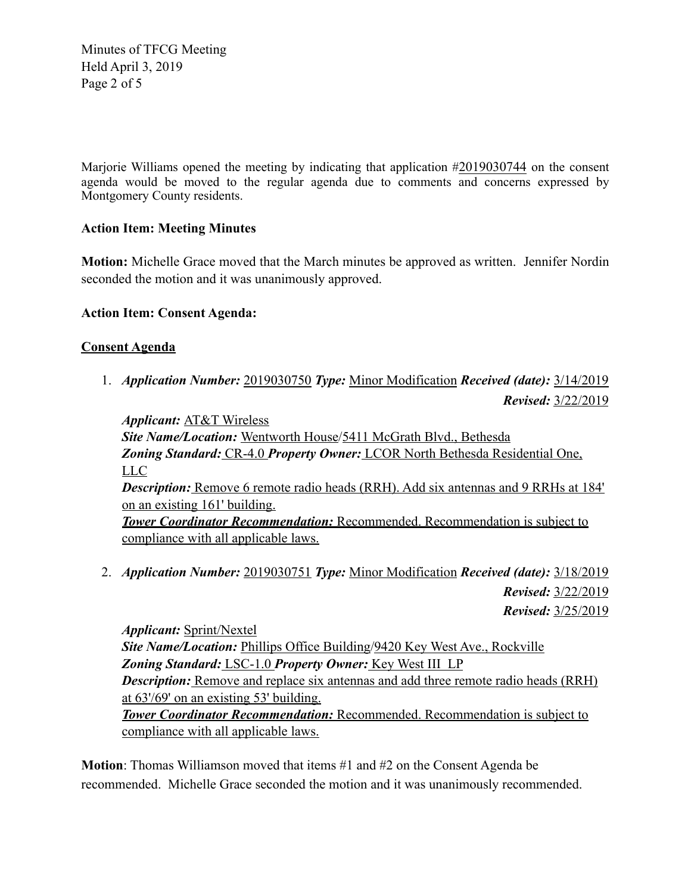Minutes of TFCG Meeting Held April 3, 2019 Page 2 of 5

Marjorie Williams opened the meeting by indicating that application #2019030744 on the consent agenda would be moved to the regular agenda due to comments and concerns expressed by Montgomery County residents.

## **Action Item: Meeting Minutes**

**Motion:** Michelle Grace moved that the March minutes be approved as written. Jennifer Nordin seconded the motion and it was unanimously approved.

#### **Action Item: Consent Agenda:**

## **Consent Agenda**

1. *Application Number:* 2019030750 *Type:* Minor Modification *Received (date):* 3/14/2019 *Revised:* 3/22/2019

*Applicant:* AT&T Wireless *Site Name/Location:* Wentworth House/5411 McGrath Blvd., Bethesda *Zoning Standard:* CR-4.0 *Property Owner:* LCOR North Bethesda Residential One, LLC *Description:* Remove 6 remote radio heads (RRH). Add six antennas and 9 RRHs at 184' on an existing 161' building. *Tower Coordinator Recommendation:* Recommended. Recommendation is subject to compliance with all applicable laws.

2. *Application Number:* 2019030751 *Type:* Minor Modification *Received (date):* 3/18/2019 *Revised:* 3/22/2019

*Revised:* 3/25/2019

*Applicant:* Sprint/Nextel *Site Name/Location: Phillips Office Building/9420 Key West Ave., Rockville Zoning Standard:* LSC-1.0 *Property Owner:* Key West III LP *Description:* Remove and replace six antennas and add three remote radio heads (RRH) at 63'/69' on an existing 53' building. *Tower Coordinator Recommendation:* Recommended. Recommendation is subject to compliance with all applicable laws.

**Motion**: Thomas Williamson moved that items #1 and #2 on the Consent Agenda be recommended. Michelle Grace seconded the motion and it was unanimously recommended.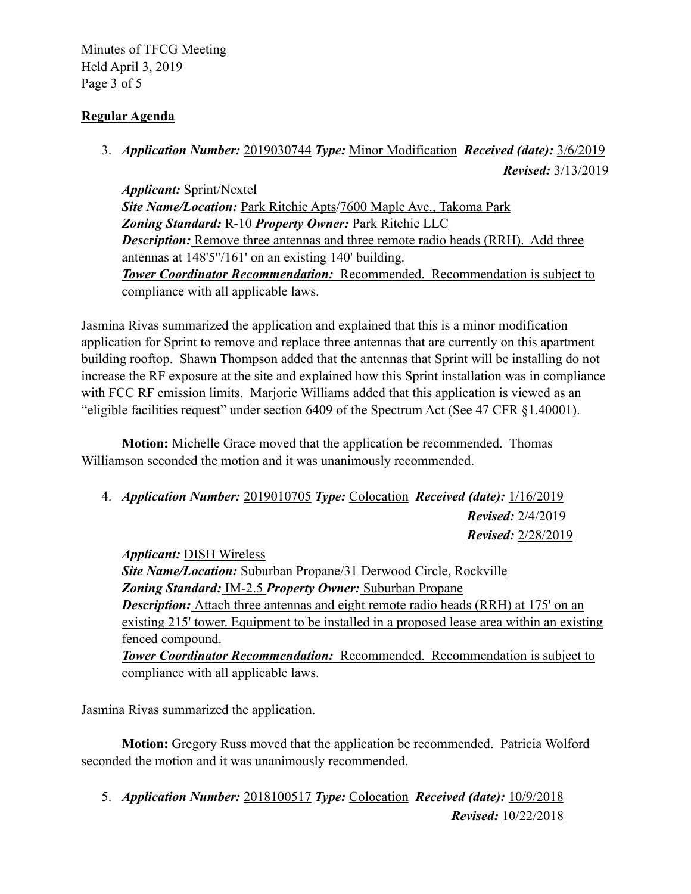Minutes of TFCG Meeting Held April 3, 2019 Page 3 of 5

# **Regular Agenda**

3. *Application Number:* 2019030744 *Type:* Minor Modification *Received (date):* 3/6/2019 *Revised:* 3/13/2019

*Applicant:* Sprint/Nextel *Site Name/Location:* Park Ritchie Apts/7600 Maple Ave., Takoma Park *Zoning Standard:* R-10 *Property Owner:* Park Ritchie LLC *Description:* Remove three antennas and three remote radio heads (RRH). Add three antennas at 148'5"/161' on an existing 140' building. *Tower Coordinator Recommendation:* Recommended. Recommendation is subject to compliance with all applicable laws.

Jasmina Rivas summarized the application and explained that this is a minor modification application for Sprint to remove and replace three antennas that are currently on this apartment building rooftop. Shawn Thompson added that the antennas that Sprint will be installing do not increase the RF exposure at the site and explained how this Sprint installation was in compliance with FCC RF emission limits. Marjorie Williams added that this application is viewed as an "eligible facilities request" under section 6409 of the Spectrum Act (See 47 CFR §1.40001).

 **Motion:** Michelle Grace moved that the application be recommended. Thomas Williamson seconded the motion and it was unanimously recommended.

4. *Application Number:* 2019010705 *Type:* Colocation *Received (date):* 1/16/2019 *Revised:* 2/4/2019 *Revised:* 2/28/2019

*Applicant:* DISH Wireless *Site Name/Location:* Suburban Propane/31 Derwood Circle, Rockville *Zoning Standard:* IM-2.5 *Property Owner:* Suburban Propane *Description:* Attach three antennas and eight remote radio heads (RRH) at 175' on an existing 215' tower. Equipment to be installed in a proposed lease area within an existing fenced compound. *Tower Coordinator Recommendation:* Recommended. Recommendation is subject to compliance with all applicable laws.

Jasmina Rivas summarized the application.

 **Motion:** Gregory Russ moved that the application be recommended. Patricia Wolford seconded the motion and it was unanimously recommended.

5. *Application Number:* 2018100517 *Type:* Colocation *Received (date):* 10/9/2018 *Revised:* 10/22/2018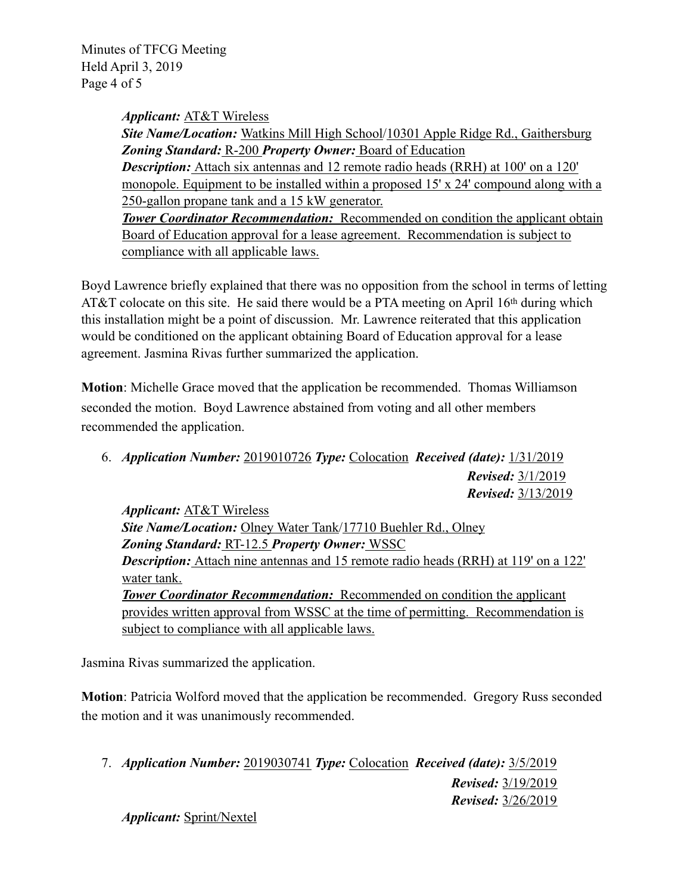Minutes of TFCG Meeting Held April 3, 2019 Page 4 of 5

*Applicant:* AT&T Wireless

*Site Name/Location:* Watkins Mill High School/10301 Apple Ridge Rd., Gaithersburg *Zoning Standard:* R-200 *Property Owner:* Board of Education **Description:** Attach six antennas and 12 remote radio heads (RRH) at 100' on a 120' monopole. Equipment to be installed within a proposed 15' x 24' compound along with a 250-gallon propane tank and a 15 kW generator. *Tower Coordinator Recommendation:* Recommended on condition the applicant obtain Board of Education approval for a lease agreement. Recommendation is subject to compliance with all applicable laws.

Boyd Lawrence briefly explained that there was no opposition from the school in terms of letting AT&T colocate on this site. He said there would be a PTA meeting on April 16<sup>th</sup> during which this installation might be a point of discussion. Mr. Lawrence reiterated that this application would be conditioned on the applicant obtaining Board of Education approval for a lease agreement. Jasmina Rivas further summarized the application.

**Motion**: Michelle Grace moved that the application be recommended. Thomas Williamson seconded the motion. Boyd Lawrence abstained from voting and all other members recommended the application.

6. *Application Number:* 2019010726 *Type:* Colocation *Received (date):* 1/31/2019 *Revised:* 3/1/2019 *Revised:* 3/13/2019

*Applicant:* AT&T Wireless *Site Name/Location: Olney Water Tank/17710 Buehler Rd., Olney Zoning Standard:* RT-12.5 *Property Owner:* WSSC **Description:** Attach nine antennas and 15 remote radio heads (RRH) at 119' on a 122' water tank. *Tower Coordinator Recommendation:* Recommended on condition the applicant provides written approval from WSSC at the time of permitting. Recommendation is subject to compliance with all applicable laws.

Jasmina Rivas summarized the application.

**Motion**: Patricia Wolford moved that the application be recommended. Gregory Russ seconded the motion and it was unanimously recommended.

7. *Application Number:* 2019030741 *Type:* Colocation *Received (date):* 3/5/2019 *Revised:* 3/19/2019 *Revised:* 3/26/2019